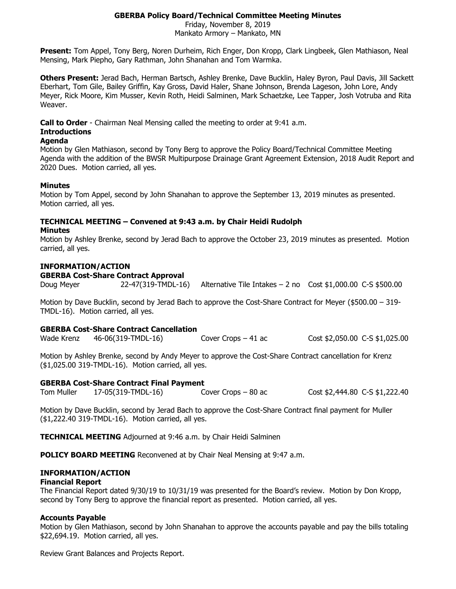# **GBERBA Policy Board/Technical Committee Meeting Minutes**

Friday, November 8, 2019 Mankato Armory – Mankato, MN

**Present:** Tom Appel, Tony Berg, Noren Durheim, Rich Enger, Don Kropp, Clark Lingbeek, Glen Mathiason, Neal Mensing, Mark Piepho, Gary Rathman, John Shanahan and Tom Warmka.

**Others Present:** Jerad Bach, Herman Bartsch, Ashley Brenke, Dave Bucklin, Haley Byron, Paul Davis, Jill Sackett Eberhart, Tom Gile, Bailey Griffin, Kay Gross, David Haler, Shane Johnson, Brenda Lageson, John Lore, Andy Meyer, Rick Moore, Kim Musser, Kevin Roth, Heidi Salminen, Mark Schaetzke, Lee Tapper, Josh Votruba and Rita Weaver.

**Call to Order** - Chairman Neal Mensing called the meeting to order at 9:41 a.m.

### **Introductions**

### **Agenda**

Motion by Glen Mathiason, second by Tony Berg to approve the Policy Board/Technical Committee Meeting Agenda with the addition of the BWSR Multipurpose Drainage Grant Agreement Extension, 2018 Audit Report and 2020 Dues. Motion carried, all yes.

### **Minutes**

Motion by Tom Appel, second by John Shanahan to approve the September 13, 2019 minutes as presented. Motion carried, all yes.

# **TECHNICAL MEETING – Convened at 9:43 a.m. by Chair Heidi Rudolph**

## **Minutes**

Motion by Ashley Brenke, second by Jerad Bach to approve the October 23, 2019 minutes as presented. Motion carried, all yes.

## **INFORMATION/ACTION**

#### **GBERBA Cost-Share Contract Approval**

Doug Meyer 22-47(319-TMDL-16) Alternative Tile Intakes – 2 no Cost \$1,000.00 C-S \$500.00

Motion by Dave Bucklin, second by Jerad Bach to approve the Cost-Share Contract for Meyer (\$500.00 – 319- TMDL-16). Motion carried, all yes.

## **GBERBA Cost-Share Contract Cancellation**

Wade Krenz 46-06(319-TMDL-16) Cover Crops – 41 ac Cost \$2,050.00 C-S \$1,025.00

Motion by Ashley Brenke, second by Andy Meyer to approve the Cost-Share Contract cancellation for Krenz (\$1,025.00 319-TMDL-16). Motion carried, all yes.

## **GBERBA Cost-Share Contract Final Payment**

Tom Muller 17-05(319-TMDL-16) Cover Crops – 80 ac Cost \$2,444.80 C-S \$1,222.40

Motion by Dave Bucklin, second by Jerad Bach to approve the Cost-Share Contract final payment for Muller (\$1,222.40 319-TMDL-16). Motion carried, all yes.

**TECHNICAL MEETING** Adjourned at 9:46 a.m. by Chair Heidi Salminen

**POLICY BOARD MEETING** Reconvened at by Chair Neal Mensing at 9:47 a.m.

## **INFORMATION/ACTION**

#### **Financial Report**

The Financial Report dated 9/30/19 to 10/31/19 was presented for the Board's review. Motion by Don Kropp, second by Tony Berg to approve the financial report as presented. Motion carried, all yes.

#### **Accounts Payable**

Motion by Glen Mathiason, second by John Shanahan to approve the accounts payable and pay the bills totaling \$22,694.19. Motion carried, all yes.

Review Grant Balances and Projects Report.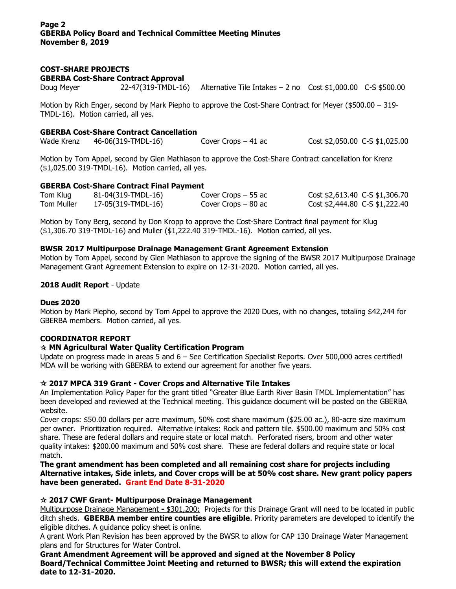# **COST-SHARE PROJECTS**

**GBERBA Cost-Share Contract Approval**

Doug Meyer 22-47(319-TMDL-16) Alternative Tile Intakes – 2 no Cost \$1,000.00 C-S \$500.00

Motion by Rich Enger, second by Mark Piepho to approve the Cost-Share Contract for Meyer (\$500.00 – 319- TMDL-16). Motion carried, all yes.

## **GBERBA Cost-Share Contract Cancellation**

Wade Krenz 46-06(319-TMDL-16) Cover Crops – 41 ac Cost \$2,050.00 C-S \$1,025.00

Motion by Tom Appel, second by Glen Mathiason to approve the Cost-Share Contract cancellation for Krenz (\$1,025.00 319-TMDL-16). Motion carried, all yes.

### **GBERBA Cost-Share Contract Final Payment**

| Tom Klug          | 81-04(319-TMDL-16) | Cover Crops $-55$ ac | Cost \$2,613.40 C-S \$1,306.70 |
|-------------------|--------------------|----------------------|--------------------------------|
| <b>Tom Muller</b> | 17-05(319-TMDL-16) | Cover Crops $-80$ ac | Cost \$2,444.80 C-S \$1,222.40 |

Motion by Tony Berg, second by Don Kropp to approve the Cost-Share Contract final payment for Klug (\$1,306.70 319-TMDL-16) and Muller (\$1,222.40 319-TMDL-16). Motion carried, all yes.

### **BWSR 2017 Multipurpose Drainage Management Grant Agreement Extension**

Motion by Tom Appel, second by Glen Mathiason to approve the signing of the BWSR 2017 Multipurpose Drainage Management Grant Agreement Extension to expire on 12-31-2020. Motion carried, all yes.

### **2018 Audit Report** - Update

#### **Dues 2020**

Motion by Mark Piepho, second by Tom Appel to approve the 2020 Dues, with no changes, totaling \$42,244 for GBERBA members. Motion carried, all yes.

#### **COORDINATOR REPORT**

## **MN Agricultural Water Quality Certification Program**

Update on progress made in areas 5 and 6 – See Certification Specialist Reports. Over 500,000 acres certified! MDA will be working with GBERBA to extend our agreement for another five years.

## **2017 MPCA 319 Grant - Cover Crops and Alternative Tile Intakes**

An Implementation Policy Paper for the grant titled "Greater Blue Earth River Basin TMDL Implementation" has been developed and reviewed at the Technical meeting. This guidance document will be posted on the GBERBA website.

Cover crops: \$50.00 dollars per acre maximum, 50% cost share maximum (\$25.00 ac.), 80-acre size maximum per owner. Prioritization required. Alternative intakes: Rock and pattern tile. \$500.00 maximum and 50% cost share. These are federal dollars and require state or local match. Perforated risers, broom and other water quality intakes: \$200.00 maximum and 50% cost share. These are federal dollars and require state or local match.

**The grant amendment has been completed and all remaining cost share for projects including Alternative intakes, Side inlets, and Cover crops will be at 50% cost share. New grant policy papers have been generated. Grant End Date 8-31-2020**

#### **2017 CWF Grant- Multipurpose Drainage Management**

Multipurpose Drainage Management **-** \$301,200: Projects for this Drainage Grant will need to be located in public ditch sheds. **GBERBA member entire counties are eligible**. Priority parameters are developed to identify the eligible ditches. A guidance policy sheet is online.

A grant Work Plan Revision has been approved by the BWSR to allow for CAP 130 Drainage Water Management plans and for Structures for Water Control.

**Grant Amendment Agreement will be approved and signed at the November 8 Policy Board/Technical Committee Joint Meeting and returned to BWSR; this will extend the expiration date to 12-31-2020.**